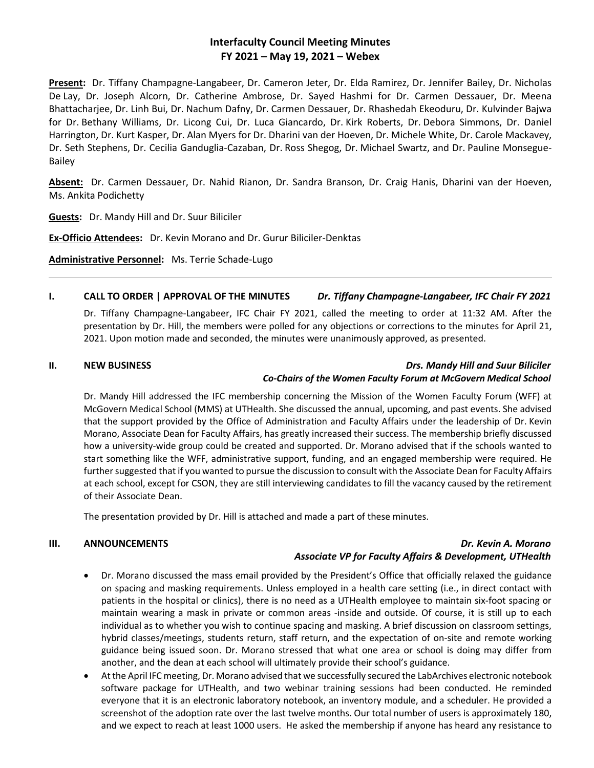# **Interfaculty Council Meeting Minutes FY 2021 – May 19, 2021 – Webex**

**Present:** Dr. Tiffany Champagne-Langabeer, Dr. Cameron Jeter, Dr. Elda Ramirez, Dr. Jennifer Bailey, Dr. Nicholas De Lay, Dr. Joseph Alcorn, Dr. Catherine Ambrose, Dr. Sayed Hashmi for Dr. Carmen Dessauer, Dr. Meena Bhattacharjee, Dr. Linh Bui, Dr. Nachum Dafny, Dr. Carmen Dessauer, Dr. Rhashedah Ekeoduru, Dr. Kulvinder Bajwa for Dr. Bethany Williams, Dr. Licong Cui, Dr. Luca Giancardo, Dr. Kirk Roberts, Dr. Debora Simmons, Dr. Daniel Harrington, Dr. Kurt Kasper, Dr. Alan Myers for Dr. Dharini van der Hoeven, Dr. Michele White, Dr. Carole Mackavey, Dr. Seth Stephens, Dr. Cecilia Ganduglia-Cazaban, Dr. Ross Shegog, Dr. Michael Swartz, and Dr. Pauline Monsegue-Bailey

**Absent:** Dr. Carmen Dessauer, Dr. Nahid Rianon, Dr. Sandra Branson, Dr. Craig Hanis, Dharini van der Hoeven, Ms. Ankita Podichetty

**Guests:** Dr. Mandy Hill and Dr. Suur Biliciler

**Ex-Officio Attendees:** Dr. Kevin Morano and Dr. Gurur Biliciler-Denktas

**Administrative Personnel:** Ms. Terrie Schade-Lugo

## **I. CALL TO ORDER | APPROVAL OF THE MINUTES** *Dr. Tiffany Champagne-Langabeer, IFC Chair FY 2021*

Dr. Tiffany Champagne-Langabeer, IFC Chair FY 2021, called the meeting to order at 11:32 AM. After the presentation by Dr. Hill, the members were polled for any objections or corrections to the minutes for April 21, 2021. Upon motion made and seconded, the minutes were unanimously approved, as presented.

## **II. NEW BUSINESS** *Drs. Mandy Hill and Suur Biliciler Co-Chairs of the Women Faculty Forum at McGovern Medical School*

Dr. Mandy Hill addressed the IFC membership concerning the Mission of the Women Faculty Forum (WFF) at McGovern Medical School (MMS) at UTHealth. She discussed the annual, upcoming, and past events. She advised that the support provided by the Office of Administration and Faculty Affairs under the leadership of Dr. Kevin Morano, Associate Dean for Faculty Affairs, has greatly increased their success. The membership briefly discussed how a university-wide group could be created and supported. Dr. Morano advised that if the schools wanted to start something like the WFF, administrative support, funding, and an engaged membership were required. He further suggested that if you wanted to pursue the discussion to consult with the Associate Dean for Faculty Affairs at each school, except for CSON, they are still interviewing candidates to fill the vacancy caused by the retirement of their Associate Dean.

The presentation provided by Dr. Hill is attached and made a part of these minutes.

## **III. ANNOUNCEMENTS** *Dr. Kevin A. Morano Associate VP for Faculty Affairs & Development, UTHealth*

- Dr. Morano discussed the mass email provided by the President's Office that officially relaxed the guidance on spacing and masking requirements. Unless employed in a health care setting (i.e., in direct contact with patients in the hospital or clinics), there is no need as a UTHealth employee to maintain six-foot spacing or maintain wearing a mask in private or common areas -inside and outside. Of course, it is still up to each individual as to whether you wish to continue spacing and masking. A brief discussion on classroom settings, hybrid classes/meetings, students return, staff return, and the expectation of on-site and remote working guidance being issued soon. Dr. Morano stressed that what one area or school is doing may differ from another, and the dean at each school will ultimately provide their school's guidance.
- At the April IFC meeting, Dr. Morano advised that we successfully secured the LabArchives electronic notebook software package for UTHealth, and two webinar training sessions had been conducted. He reminded everyone that it is an electronic laboratory notebook, an inventory module, and a scheduler. He provided a screenshot of the adoption rate over the last twelve months. Our total number of users is approximately 180, and we expect to reach at least 1000 users. He asked the membership if anyone has heard any resistance to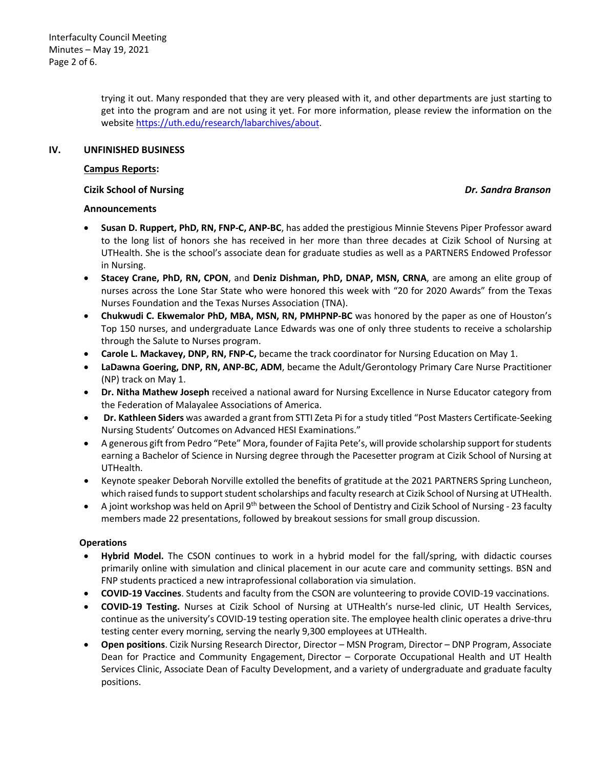trying it out. Many responded that they are very pleased with it, and other departments are just starting to get into the program and are not using it yet. For more information, please review the information on the website [https://uth.edu/research/labarchives/about.](https://uth.edu/research/labarchives/about)

## **IV. UNFINISHED BUSINESS**

## **Campus Reports:**

## **Cizik School of Nursing** *Dr. Sandra Branson*

## **Announcements**

- **Susan D. Ruppert, PhD, RN, FNP-C, ANP-BC**, has added the prestigious Minnie Stevens Piper Professor award to the long list of honors she has received in her more than three decades at Cizik School of Nursing at UTHealth. She is the school's associate dean for graduate studies as well as a PARTNERS Endowed Professor in Nursing.
- **Stacey Crane, PhD, RN, CPON**, and **Deniz Dishman, PhD, DNAP, MSN, CRNA**, are among an elite group of nurses across the Lone Star State who were honored this week with "20 for 2020 Awards" from the Texas Nurses Foundation and the Texas Nurses Association (TNA).
- **Chukwudi C. Ekwemalor PhD, MBA, MSN, RN, PMHPNP-BC** was honored by the paper as one of Houston's Top 150 nurses, and undergraduate Lance Edwards was one of only three students to receive a scholarship through the Salute to Nurses program.
- **Carole L. Mackavey, DNP, RN, FNP-C,** became the track coordinator for Nursing Education on May 1.
- **LaDawna Goering, DNP, RN, ANP-BC, ADM**, became the Adult/Gerontology Primary Care Nurse Practitioner (NP) track on May 1.
- **Dr. Nitha Mathew Joseph** received a national award for Nursing Excellence in Nurse Educator category from the Federation of Malayalee Associations of America.
- **Dr. Kathleen Siders** was awarded a grant from STTI Zeta Pi for a study titled "Post Masters Certificate-Seeking Nursing Students' Outcomes on Advanced HESI Examinations."
- A generous gift from Pedro "Pete" Mora, founder of Fajita Pete's, will provide scholarship support for students earning a Bachelor of Science in Nursing degree through the Pacesetter program at Cizik School of Nursing at UTHealth.
- Keynote speaker Deborah Norville extolled the benefits of gratitude at the 2021 PARTNERS Spring Luncheon, which raised funds to support student scholarships and faculty research at Cizik School of Nursing at UTHealth.
- A joint workshop was held on April 9<sup>th</sup> between the School of Dentistry and Cizik School of Nursing 23 faculty members made 22 presentations, followed by breakout sessions for small group discussion.

## **Operations**

- **Hybrid Model.** The CSON continues to work in a hybrid model for the fall/spring, with didactic courses primarily online with simulation and clinical placement in our acute care and community settings. BSN and FNP students practiced a new intraprofessional collaboration via simulation.
- **COVID-19 Vaccines**. Students and faculty from the CSON are volunteering to provide COVID-19 vaccinations.
- **COVID-19 Testing.** Nurses at Cizik School of Nursing at UTHealth's nurse-led clinic, UT Health Services, continue as the university's COVID-19 testing operation site. The employee health clinic operates a drive-thru testing center every morning, serving the nearly 9,300 employees at UTHealth.
- **Open positions**. Cizik Nursing Research Director, Director MSN Program, Director DNP Program, Associate Dean for Practice and Community Engagement, Director – Corporate Occupational Health and UT Health Services Clinic, Associate Dean of Faculty Development, and a variety of undergraduate and graduate faculty positions.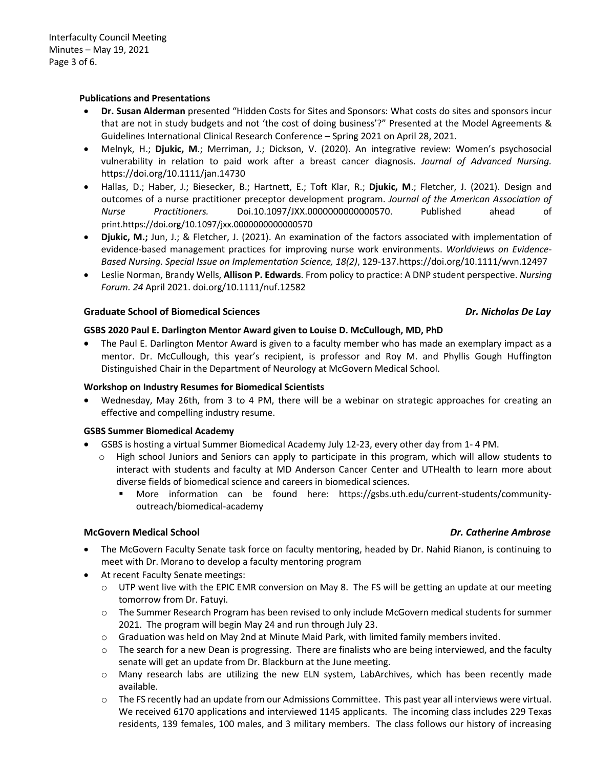## **Publications and Presentations**

- **Dr. Susan Alderman** presented "Hidden Costs for Sites and Sponsors: What costs do sites and sponsors incur that are not in study budgets and not 'the cost of doing business'?" Presented at the Model Agreements & Guidelines International Clinical Research Conference – Spring 2021 on April 28, 2021.
- Melnyk, H.; **Djukic, M**.; Merriman, J.; Dickson, V. (2020). An integrative review: Women's psychosocial vulnerability in relation to paid work after a breast cancer diagnosis. *Journal of Advanced Nursing.*  https://doi.org/10.1111/jan.14730
- Hallas, D.; Haber, J.; Biesecker, B.; Hartnett, E.; Toft Klar, R.; **Djukic, M**.; Fletcher, J. (2021). Design and outcomes of a nurse practitioner preceptor development program. *Journal of the American Association of Nurse Practitioners.* Doi.10.1097/JXX.0000000000000570. Published ahead of print.https://doi.org/10.1097/jxx.0000000000000570
- **Djukic, M.;** Jun, J.; & Fletcher, J. (2021). An examination of the factors associated with implementation of evidence-based management practices for improving nurse work environments. *Worldviews on Evidence-Based Nursing. Special Issue on Implementation Science, 18(2)*, 129-137.https://doi.org/10.1111/wvn.12497
- Leslie Norman, Brandy Wells, **Allison P. Edwards**. From policy to practice: A DNP student perspective. *Nursing Forum. 24* April 2021. doi.org/10.1111/nuf.12582

### **Graduate School of Biomedical Sciences** *Dr. Nicholas De Lay*

# **GSBS 2020 Paul E. Darlington Mentor Award given to Louise D. McCullough, MD, PhD**

• The Paul E. Darlington Mentor Award is given to a faculty member who has made an exemplary impact as a mentor. Dr. McCullough, this year's recipient, is professor and Roy M. and Phyllis Gough Huffington Distinguished Chair in the Department of Neurology at McGovern Medical School.

## **Workshop on Industry Resumes for Biomedical Scientists**

• Wednesday, May 26th, from 3 to 4 PM, there will be a webinar on strategic approaches for creating an effective and compelling industry resume.

## **GSBS Summer Biomedical Academy**

- GSBS is hosting a virtual Summer Biomedical Academy July 12-23, every other day from 1- 4 PM.
	- o High school Juniors and Seniors can apply to participate in this program, which will allow students to interact with students and faculty at MD Anderson Cancer Center and UTHealth to learn more about diverse fields of biomedical science and careers in biomedical sciences.
		- More information can be found here: https://gsbs.uth.edu/current-students/communityoutreach/biomedical-academy

## **McGovern Medical School** *Dr. Catherine Ambrose*

- The McGovern Faculty Senate task force on faculty mentoring, headed by Dr. Nahid Rianon, is continuing to meet with Dr. Morano to develop a faculty mentoring program
- At recent Faculty Senate meetings:
	- $\circ$  UTP went live with the EPIC EMR conversion on May 8. The FS will be getting an update at our meeting tomorrow from Dr. Fatuyi.
	- o The Summer Research Program has been revised to only include McGovern medical students for summer 2021. The program will begin May 24 and run through July 23.
	- o Graduation was held on May 2nd at Minute Maid Park, with limited family members invited.
	- $\circ$  The search for a new Dean is progressing. There are finalists who are being interviewed, and the faculty senate will get an update from Dr. Blackburn at the June meeting.
	- o Many research labs are utilizing the new ELN system, LabArchives, which has been recently made available.
	- $\circ$  The FS recently had an update from our Admissions Committee. This past year all interviews were virtual. We received 6170 applications and interviewed 1145 applicants. The incoming class includes 229 Texas residents, 139 females, 100 males, and 3 military members. The class follows our history of increasing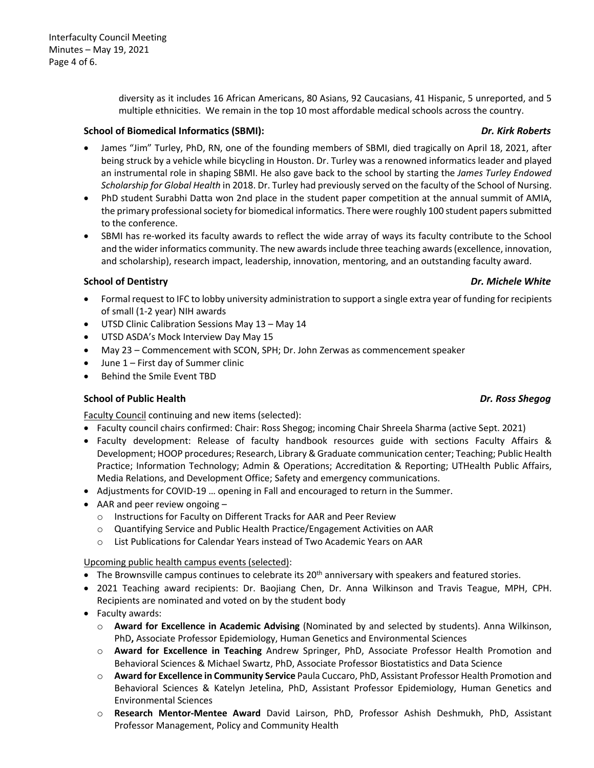diversity as it includes 16 African Americans, 80 Asians, 92 Caucasians, 41 Hispanic, 5 unreported, and 5 multiple ethnicities. We remain in the top 10 most affordable medical schools across the country.

## **School of Biomedical Informatics (SBMI):** *Dr. Kirk Roberts*

- James "Jim" Turley, PhD, RN, one of the founding members of SBMI, died tragically on April 18, 2021, after being struck by a vehicle while bicycling in Houston. Dr. Turley was a renowned informatics leader and played an instrumental role in shaping SBMI. He also gave back to the school by starting the *James Turley Endowed Scholarship for Global Health* in 2018. Dr. Turley had previously served on the faculty of the School of Nursing.
- PhD student Surabhi Datta won 2nd place in the student paper competition at the annual summit of AMIA, the primary professional society for biomedical informatics. There were roughly 100 student papers submitted to the conference.
- SBMI has re-worked its faculty awards to reflect the wide array of ways its faculty contribute to the School and the wider informatics community. The new awards include three teaching awards (excellence, innovation, and scholarship), research impact, leadership, innovation, mentoring, and an outstanding faculty award.

# **School of Dentistry** *Dr. Michele White*

- Formal request to IFC to lobby university administration to support a single extra year of funding for recipients of small (1-2 year) NIH awards
- UTSD Clinic Calibration Sessions May 13 May 14
- UTSD ASDA's Mock Interview Day May 15
- May 23 Commencement with SCON, SPH; Dr. John Zerwas as commencement speaker
- June 1 First day of Summer clinic
- Behind the Smile Event TBD

# **School of Public Health** *Dr. Ross Shegog*

Faculty Council continuing and new items (selected):

- Faculty council chairs confirmed: Chair: Ross Shegog; incoming Chair Shreela Sharma (active Sept. 2021)
- Faculty development: Release of faculty handbook resources guide with sections Faculty Affairs & Development; HOOP procedures; Research, Library & Graduate communication center; Teaching; Public Health Practice; Information Technology; Admin & Operations; Accreditation & Reporting; UTHealth Public Affairs, Media Relations, and Development Office; Safety and emergency communications.
- Adjustments for COVID-19 … opening in Fall and encouraged to return in the Summer.
- AAR and peer review ongoing
	- o Instructions for Faculty on Different Tracks for AAR and Peer Review
	- o Quantifying Service and Public Health Practice/Engagement Activities on AAR
	- o List Publications for Calendar Years instead of Two Academic Years on AAR

Upcoming public health campus events (selected):

- $\bullet$  The Brownsville campus continues to celebrate its 20<sup>th</sup> anniversary with speakers and featured stories.
- 2021 Teaching award recipients: Dr. Baojiang Chen, Dr. Anna Wilkinson and Travis Teague, MPH, CPH. Recipients are nominated and voted on by the student body
- Faculty awards:
	- o **Award for Excellence in Academic Advising** (Nominated by and selected by students). Anna Wilkinson, PhD**,** Associate Professor Epidemiology, Human Genetics and Environmental Sciences
	- o **Award for Excellence in Teaching** Andrew Springer, PhD, Associate Professor Health Promotion and Behavioral Sciences & Michael Swartz, PhD, Associate Professor Biostatistics and Data Science
	- o **Award for Excellence in Community Service** Paula Cuccaro, PhD, Assistant Professor Health Promotion and Behavioral Sciences & Katelyn Jetelina, PhD, Assistant Professor Epidemiology, Human Genetics and Environmental Sciences
	- o **Research Mentor-Mentee Award** David Lairson, PhD, Professor Ashish Deshmukh, PhD, Assistant Professor Management, Policy and Community Health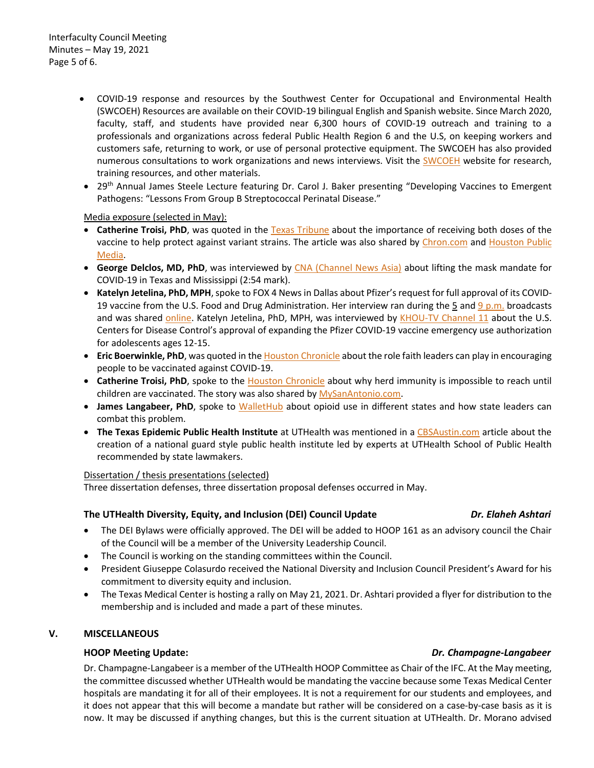- COVID-19 response and resources by the Southwest Center for Occupational and Environmental Health (SWCOEH) Resources are available on their COVID-19 bilingual English and Spanish website. Since March 2020, faculty, staff, and students have provided near 6,300 hours of COVID-19 outreach and training to a professionals and organizations across federal Public Health Region 6 and the U.S, on keeping workers and customers safe, returning to work, or use of personal protective equipment. The SWCOEH has also provided numerous consultations to work organizations and news interviews. Visit the [SWCOEH](https://urldefense.proofpoint.com/v2/url?u=http-3A__r20.rs6.net_tn.jsp-3Ff-3D001H2UVK3dBHOOTDe-5F5gah1Uy6aecMoIenh89W8kU9XBRzU-2Djde5lToUP1Es1YYTsnW-2DgQPLxWykbR0skwA-2Dt3bt8fsG0DMFleDRocNjDsXM-5Fp5zlllwLecTYVviTxL0f1ZqmJSzAWVUkFw7RUJsajvJo6wMCP7gSJU0hMTErhMbxClA0ityk0-5FaiJRKHigbZiL-26c-3DXdrpvkMWGKKe6JJ9C4sFn1QLqbZwV59Ds6DzNOv43OIpRklSjNdrmg-3D-3D-26ch-3Dg5bHh95n7ZT6XFasj9zDTYjI-2DXetw8AXmdZEpkL-5F8kjy1XRzru1OZw-3D-3D&d=DwMFaQ&c=bKRySV-ouEg_AT-w2QWsTdd9X__KYh9Eq2fdmQDVZgw&r=-7rCiWMsLux4m3QAsFQFsuWBrDjZtYd0GMgYB4caM1c&m=J2omcyl7C2WSluNbh1bLoOy9_pSlPTBwZ4lTLkPwB2Y&s=C77jlYIfLRNUmVcczz0N0iRJ6DMCFsorViLCqJM7K0Q&e=) website for research, training resources, and other materials.
- 29th Annual James Steele Lecture featuring Dr. Carol J. Baker presenting "Developing Vaccines to Emergent Pathogens: "Lessons From Group B Streptococcal Perinatal Disease."

### Media exposure (selected in May):

- **Catherine Troisi, PhD**, was quoted in the [Texas Tribune](https://urldefense.proofpoint.com/v2/url?u=http-3A__r20.rs6.net_tn.jsp-3Ff-3D001H2UVK3dBHOOTDe-5F5gah1Uy6aecMoIenh89W8kU9XBRzU-2Djde5lToUI5zGVwkdthID9U4Vl7-5FDKOg-2D-2Dn7nVZsk4dDzE4wV-2D6qCwObmpFNuCU0BPaiDH0YmKRGXBo14qzMPsrjBmi-2Dl6xTYu5IYdyMR5u2HK0SQ06x77tl5gBAa0z-2Di6I1Zwu03OqIwLyDlrwnySiZqChuo5c13vLWDt5E-2DtL3DTZ-2Dfz2lAT-2DJurPMBTZBT664nQvTo-2DtvkARNaO1P8mqzJoki1JT-5Fwr5-2DRSymZsIEjbHzgQlKXeRJ3PhQH2PwR-2D9P3i08mVMtVV5PT6gEVnjqE-5Fi2WAdX5sPUSQOKMcIi5T7iN99XqUN2l8DMPVoyn58LQ-2D5c-2DizU2Cz8PIHLCXIC9XUqx7DEX9SLIsG1KIZxqyC37mvBXC4UCR4Y-2DfyNGfP7E9ASFo-2D4aTELHxqaMTibhIkqs-5F-2DVaOMUetUHSb7gJ4Yj9CVkdr-5FVDkkR9wpjzEv4NvYsQSTD78UwVitAqVIcFSRZuEyl8V2-5F0rtLKpgjlTlTInZEq-5FDQ1M-5FvQcyi94k-2D8C8kMeT3qJ6FtfD1USqVyvlg5TW-2DEFTp0x2w-5FmLytrlk-5FAlEFaZRryICGN7AJXIogmP86MoFNjPeZcZ-5FWAiE1qlX57ftm3Vm5AUBOagdxAvuz1GUlv-2DB4jUZnNE9cWBcaTi0zPYeFg9BoY7bpj8y1h66ykXrD-2DUHEsnOEk5rEeTbAFVmJUb8c4XWF58BV1V9c-2DDUoO4jPtSg-2D7eXPBA9c-2DrQrnZjMzF7OqbxbwdCcANOP97ZY3IDum59PVn5rh-5FA9ouiAdLEJ3Vv5iGme3X9zaCnPh49tflt0qywpvbxR8VkUYysoAMsvD7louZyt8TlxmcXRyMHl8Y5aVUD-2DOmcqOPa9uoaNzq6Xyjyla5AN96Gb-2DKe88ra8HEOQwyDA-5F11-2Dr-2Drs6ifpW6EUQKQovaxS4VlCM-2Doi6QtTIDLJZe2y2BeaH1XPC4qKG355ATvGrRE-5F4Hb04-2DIeJDKmlZ3HzIdWM-5F-5F2RYvnc21eFIZWQ-3D-3D-26c-3DXdrpvkMWGKKe6JJ9C4sFn1QLqbZwV59Ds6DzNOv43OIpRklSjNdrmg-3D-3D-26ch-3Dg5bHh95n7ZT6XFasj9zDTYjI-2DXetw8AXmdZEpkL-5F8kjy1XRzru1OZw-3D-3D&d=DwMFaQ&c=bKRySV-ouEg_AT-w2QWsTdd9X__KYh9Eq2fdmQDVZgw&r=-7rCiWMsLux4m3QAsFQFsuWBrDjZtYd0GMgYB4caM1c&m=J2omcyl7C2WSluNbh1bLoOy9_pSlPTBwZ4lTLkPwB2Y&s=OzF0euv-lpGW-7XbvNnqN6bBYfuN94BuvqURRQRM14Y&e=) about the importance of receiving both doses of the vaccine to help protect against variant strains. The article was also shared by [Chron.com](https://urldefense.proofpoint.com/v2/url?u=http-3A__r20.rs6.net_tn.jsp-3Ff-3D001H2UVK3dBHOOTDe-5F5gah1Uy6aecMoIenh89W8kU9XBRzU-2Djde5lToUI5zGVwkdthIrC4rjPwKsO-2DbkbddhNpx9cjQhB0j3ZcBYLPmxqG5J-2D9UHay2eREOQiCEAntRTySZJErLI1i13bHOoDuDDh4c5cQSCc1WGgiFp6-5FZ2vrGQib-2Di-5Fjc3PUNWZ1YhRqPvhIszQmwqE0hUQK5i6lqFPFgnp-5FjbSRAXfPgdCNsC0WgnCC7Z7kWt38m8ctIm3KjafmdxX9pyGLh-5FpmXbTkgSf-5FhT6LkvPk1n3WPSlpfl54hC76HmktjlST7k5tQz0zjEGPBa2dCT9q3SWzSEqOmfVvHtxWMK8i3A2ojAO8nsTseog-2DfvrrH8QEcyKt2ngcZWjy3l0ap3VEI7SMl4KYQpUwn8zbZywOPAKLFw0Pari38exFJhCPNnkPYL5bLXAIYPK7Qfv46swHdaMPl-2DOJaHQudVzqAbSVMntrT8p0KOEAEEtvQ7DCThqyG5rTX0kKZsRCNvJqo151MFlo7X9swWO-5F1smEnyyjnqtvr2sRHBVj4qprGZhfIn6WDdumJJ806g7pNmma-2DnUQ9LynatBFhdvB04rblNyrPh1csaVsMEOuOeNl48hfj5yObRoSmJeY8E7tqMTwkCYbvBNh90XyKTBKWQNmJGCvevqDgtZGg3Jpzid7ZHmUge9cdLRrdojTgtQLSzcgSkYDh0vDileRmfLGdAwa0Y1Qzil6uasuhdFgGdfznHI0TxHp4e8XTrGQnqrz1VBSQe37HU3TYMNr0-2D1WVpp7nHVU8-5FWyTtOYVHusfErwrdCQamWAxrVCOVoCmif1fAJhG98Shad44PDqieMXmFOIJZ3aBQDDhUgQl-2DDDQ6H4CDtI0OOeDn27XIPH5dk3Zjtnyfx8rT-2D-5FMY-5FUrTy99Ed-2D-5FOK5J0uUSkXdAIQOS-5F4K3vBre0I1B7uABnbjRB7bkkHksTbcSyw006DdpNiJjuKNPhCfwTnBAUpsokN899EQeqBnLRm30NQ0yV99Ax2PnLTMT6zZmw9jwbOA1ZMfRIw-5Fce5l-2DPNAiC1ZGyhkyx7Y-3D-26c-3DXdrpvkMWGKKe6JJ9C4sFn1QLqbZwV59Ds6DzNOv43OIpRklSjNdrmg-3D-3D-26ch-3Dg5bHh95n7ZT6XFasj9zDTYjI-2DXetw8AXmdZEpkL-5F8kjy1XRzru1OZw-3D-3D&d=DwMFaQ&c=bKRySV-ouEg_AT-w2QWsTdd9X__KYh9Eq2fdmQDVZgw&r=-7rCiWMsLux4m3QAsFQFsuWBrDjZtYd0GMgYB4caM1c&m=J2omcyl7C2WSluNbh1bLoOy9_pSlPTBwZ4lTLkPwB2Y&s=XbhTfz5_9FDyaW5XERbNTR1djT-5LA56Lcw19-WKGDg&e=) and [Houston Public](https://urldefense.proofpoint.com/v2/url?u=http-3A__r20.rs6.net_tn.jsp-3Ff-3D001H2UVK3dBHOOTDe-5F5gah1Uy6aecMoIenh89W8kU9XBRzU-2Djde5lToUI5zGVwkdthI8tCbrCITd-5F6Hr0uf-5F7Yqmj2DmUPVtSPgVr9LcXxwk-2DFimTn0QOHtsf-2DjW3TN1rI6Ze0HY9E1-5FTUJjWuL2s0mDRthoYBJKRkEjxSMs3YGEkqCIai0HNd4l2sxZ2AlI8XTXFW0a0Z6IRHZEPveURxm6FnwP2iTq1meyRtucz-5FbSSY7plUQRQVAlXW9KaXEmXK3ZzMmwTZ85FQjNbi-2Dbp-5FUA2KLpg3fAKTd0hZ75sVUEmoap2E0LP4HgX3FCliEQ-2Dfx3NVelzFK7A8-5FXBaCRap8o2k-2DxanIAXRuD1y-2DHlYQ6t0Tw2mZlf-5FZBFNcoqeOrDqP2a-2DZkVmTLjfK4m3n5iReRamScQlpyIjAv3f7XVq1Azz9G-2D19BajZPsFNCRwVBsEh1SkBJceVkqumu36Vo7TZgID-2D3jCFEUBzQ5dmCb8XDfklVkx5WoC40fGYdtpLLr8fARZjqNcGv8U90OymAxKGFxnUws5GNdGSfctXOYkngNtePoS7VDXRnyUER2U9HTdSTNpaA93I8-5FSk7gZD9M01X-2D5jnExd8oax3D6g0hkG8u8U-5FOFLNgnvYTh59Z7Le5FVBKc5ibzocBZZDbvtNRBCv1US24ouy6DnXEKeG2o-2DWgWmSY7KoBF0u6osfhDSXNg9CGK7H0ZrrM5rL6U16iPNqcniUg36RUAUhw7-2DojZpU-2DMHPouTBJsQgjPH5RVAGAAK9piNezGXfrFx1-5FazcHRKwWrkQPHnaZNQ1w1V4ZU9dD3qu7OsRiQFnXC4H9HtWH6vFxpjgLOCJcYdZTVcWeodpHB0z7pkXi5TB6RSNXWpgW6ExCjIRmvQeerGLHWShrh-2DM51wsGrX9E47k73OuqYf0zJsIQEo7clAEZtHNSj6UJ3maox1L3Hsn4ppHlSDjC47w-2DMBsPKsbSHgm2tnQY92hX9obmjFlMKIVFC91EGA1ki1QcprzvsPhIwVALP-2DJJNJEV2r-2D-2DqQNi0e1IyF6G7rqgdJkzXiTtikWcMPCKZ7KbSDVp-5FhTKxC-5FqlHz3sYTr3nEt4v2azOtsfmJwaNFpiSprOwbZv-5FLfX3wcL6LO9V9pL-5FJKG7hVTkkRDomGfVHqYWH34wZS4ikE0TI8V-5F9OEmhSHLF9NoVj-5FmWgbPtmTwNwsdJStfr87T7xxEFRQj2XQ-5F-5FmdXzmTkOIE-3D-26c-3DXdrpvkMWGKKe6JJ9C4sFn1QLqbZwV59Ds6DzNOv43OIpRklSjNdrmg-3D-3D-26ch-3Dg5bHh95n7ZT6XFasj9zDTYjI-2DXetw8AXmdZEpkL-5F8kjy1XRzru1OZw-3D-3D&d=DwMFaQ&c=bKRySV-ouEg_AT-w2QWsTdd9X__KYh9Eq2fdmQDVZgw&r=-7rCiWMsLux4m3QAsFQFsuWBrDjZtYd0GMgYB4caM1c&m=J2omcyl7C2WSluNbh1bLoOy9_pSlPTBwZ4lTLkPwB2Y&s=0CzZm5iQ0qZVjXE5hGTjmB-hh8vfXaMWsy8yygMzuGk&e=)  [Media.](https://urldefense.proofpoint.com/v2/url?u=http-3A__r20.rs6.net_tn.jsp-3Ff-3D001H2UVK3dBHOOTDe-5F5gah1Uy6aecMoIenh89W8kU9XBRzU-2Djde5lToUI5zGVwkdthI8tCbrCITd-5F6Hr0uf-5F7Yqmj2DmUPVtSPgVr9LcXxwk-2DFimTn0QOHtsf-2DjW3TN1rI6Ze0HY9E1-5FTUJjWuL2s0mDRthoYBJKRkEjxSMs3YGEkqCIai0HNd4l2sxZ2AlI8XTXFW0a0Z6IRHZEPveURxm6FnwP2iTq1meyRtucz-5FbSSY7plUQRQVAlXW9KaXEmXK3ZzMmwTZ85FQjNbi-2Dbp-5FUA2KLpg3fAKTd0hZ75sVUEmoap2E0LP4HgX3FCliEQ-2Dfx3NVelzFK7A8-5FXBaCRap8o2k-2DxanIAXRuD1y-2DHlYQ6t0Tw2mZlf-5FZBFNcoqeOrDqP2a-2DZkVmTLjfK4m3n5iReRamScQlpyIjAv3f7XVq1Azz9G-2D19BajZPsFNCRwVBsEh1SkBJceVkqumu36Vo7TZgID-2D3jCFEUBzQ5dmCb8XDfklVkx5WoC40fGYdtpLLr8fARZjqNcGv8U90OymAxKGFxnUws5GNdGSfctXOYkngNtePoS7VDXRnyUER2U9HTdSTNpaA93I8-5FSk7gZD9M01X-2D5jnExd8oax3D6g0hkG8u8U-5FOFLNgnvYTh59Z7Le5FVBKc5ibzocBZZDbvtNRBCv1US24ouy6DnXEKeG2o-2DWgWmSY7KoBF0u6osfhDSXNg9CGK7H0ZrrM5rL6U16iPNqcniUg36RUAUhw7-2DojZpU-2DMHPouTBJsQgjPH5RVAGAAK9piNezGXfrFx1-5FazcHRKwWrkQPHnaZNQ1w1V4ZU9dD3qu7OsRiQFnXC4H9HtWH6vFxpjgLOCJcYdZTVcWeodpHB0z7pkXi5TB6RSNXWpgW6ExCjIRmvQeerGLHWShrh-2DM51wsGrX9E47k73OuqYf0zJsIQEo7clAEZtHNSj6UJ3maox1L3Hsn4ppHlSDjC47w-2DMBsPKsbSHgm2tnQY92hX9obmjFlMKIVFC91EGA1ki1QcprzvsPhIwVALP-2DJJNJEV2r-2D-2DqQNi0e1IyF6G7rqgdJkzXiTtikWcMPCKZ7KbSDVp-5FhTKxC-5FqlHz3sYTr3nEt4v2azOtsfmJwaNFpiSprOwbZv-5FLfX3wcL6LO9V9pL-5FJKG7hVTkkRDomGfVHqYWH34wZS4ikE0TI8V-5F9OEmhSHLF9NoVj-5FmWgbPtmTwNwsdJStfr87T7xxEFRQj2XQ-5F-5FmdXzmTkOIE-3D-26c-3DXdrpvkMWGKKe6JJ9C4sFn1QLqbZwV59Ds6DzNOv43OIpRklSjNdrmg-3D-3D-26ch-3Dg5bHh95n7ZT6XFasj9zDTYjI-2DXetw8AXmdZEpkL-5F8kjy1XRzru1OZw-3D-3D&d=DwMFaQ&c=bKRySV-ouEg_AT-w2QWsTdd9X__KYh9Eq2fdmQDVZgw&r=-7rCiWMsLux4m3QAsFQFsuWBrDjZtYd0GMgYB4caM1c&m=J2omcyl7C2WSluNbh1bLoOy9_pSlPTBwZ4lTLkPwB2Y&s=0CzZm5iQ0qZVjXE5hGTjmB-hh8vfXaMWsy8yygMzuGk&e=)
- **George Delclos, MD, PhD**, was interviewed by [CNA \(Channel News Asia\)](https://urldefense.proofpoint.com/v2/url?u=http-3A__r20.rs6.net_tn.jsp-3Ff-3D001H2UVK3dBHOOTDe-5F5gah1Uy6aecMoIenh89W8kU9XBRzU-2Djde5lToUI5zGVwkdthI7R3WoBspyEpZvU90QCdrakTAP6Y07uyyhcR7lJ7eUfqjR8fU2Iy70FqDTRJQU4Y8-2DkN73K-5FjA1jsFOkM-5FQ4hmilhOYweOjpM10pOfMXGRj2-5F03sUwh2UISQXhCMhd0Uo6rx5f0KT8YYNwwjCku0IYd4N2xmbNXiPVTif-5FN-2DmDHCbKNmYRXF-5FMKzRnXd218S0koGxtO4acz-5Fsd6MJykSaG5LbH8KpH4Lx0sFVU8Q9-2DuyFQduRiDMsV9-5FSxzjMAS46-2D0cqiklBQBUZipH-5FE2lRdZvuxbDNouXqPg4jBHw-2D0FI0YaatSd02bzRwExpe7PyX81dNZhUt1e3NU1hGpQZfkdDiI9m-5Fodng4mFbEDX69vmcviK-2D-2DI1IjjIhb9wLcK65ees-2DMzTiKS-5FyDXnRA-2DOIs4qXoAVo9liu8ykVhxF6cKhHhRZdOsa6Zz529S5RS1tAHjoQ1-2DTjwM1EWDaDg3hB13z-5Fdoses7Yy-5F7ybzvPtp7KMmVIK4LTguv7jlGb36RPwWvvghjp9BduNkoSqw7wAWwUJLIecJRigQtYoQU4Lsar0ZgfuChI8NYbjm-2DZ-5F0IK58Lwvmwy50apUhQh13imBZ6mMd6XGMvOzksVUZNchR-5F5-2D-2DjHiF-2DynM3YDzZDW65arHRS7A-5FCJl85bm-2D3YtCq9RUXKgkpaUeG3Z8yRD6fYXqgVUW3aPv81fBfuu89knRIYEHpr8Bc8nRGHtBYZdROjlY-2D8gS2sTdT-2Dk7cS0Fjz5BIJp3HTCJVz2c-5Fbi7qK52a6K3lYVRCvQHCzKD5j-2Dyvnh6TL-2DOkLUaTJY6HJC8-2DGsgzFlLCzdnpvJr2fd-2DV-5FLro3TziPS-2D63WjlyqS9k7SUdqJKRHC5VGEkINTbfcvkLLg-2D8OmR-2D5ljN-2DN-2DSFqEotzI2Gff4IEvuffUYnnHkE-5FoiuiZBlZHnytG0PUhbI60sHIWaJPnhUaf-2DUS-2DYQFQsJDVxG9QX-2Dnpe1SodcX6qCsP-2Dzbe9kBTqRLAqOjRvGhZfM2rGKCLayeTxPhv1qLGShbB7DYnLFXkW7Du-2DiIhT4yUy0w-3D-3D-26c-3DXdrpvkMWGKKe6JJ9C4sFn1QLqbZwV59Ds6DzNOv43OIpRklSjNdrmg-3D-3D-26ch-3Dg5bHh95n7ZT6XFasj9zDTYjI-2DXetw8AXmdZEpkL-5F8kjy1XRzru1OZw-3D-3D&d=DwMFaQ&c=bKRySV-ouEg_AT-w2QWsTdd9X__KYh9Eq2fdmQDVZgw&r=-7rCiWMsLux4m3QAsFQFsuWBrDjZtYd0GMgYB4caM1c&m=J2omcyl7C2WSluNbh1bLoOy9_pSlPTBwZ4lTLkPwB2Y&s=GZPPaMP5WKcwKx8Xu0q062th8uc2vwcVgFI49PUiTE8&e=) about lifting the mask mandate for COVID-19 in Texas and Mississippi (2:54 mark).
- **Katelyn Jetelina, PhD, MPH**, spoke to FOX 4 News in Dallas about Pfizer's request for full approval of its COVID-19 vaccine from the U.S. Food and Drug Administration. Her interview ran during the [5](https://urldefense.proofpoint.com/v2/url?u=http-3A__r20.rs6.net_tn.jsp-3Ff-3D001H2UVK3dBHOOTDe-5F5gah1Uy6aecMoIenh89W8kU9XBRzU-2Djde5lToUI5zGVwkdthI-2DuBeZSlE1kZ0VAb-5FUEsGSUrBdPxJrElWlCFqkNPCObu5jtW9-5FzuQgODDVGuO0uJ49-5FZOCupdEYn6Ywuxq1Az7W0wDtxTToZ3hO-2DODuVVnUDfTX7qWct9E8KblmAnGSIBpLKgGiVlGa9p5zcekYG8UmAfbdLCdx0n0VJZmWsexZiJUE3OpsMTYGAN-2DEE94fL88uncFG9x0ZQolec1h17-5FKAjY-2DeJMztjKyypmz3V91Mekh4zfYqJ34PCqnHRhjQGsWwMbQGMCT0HjCnez6qyDg6o3t5HvMbH9vZZCSYGeGxaIsNTwhzYFcL5aZAkUI2j-2D-2DAf9elu1uZlEovHMQodgZ-2DwBovJM3mLvJ7zapx743-2D43bex-5F79-5FfpS7w7tUNn7ms2fjJUVm9l-5FhyOUQyUffdaDl1j7wLUxeWujhu1hs9DWEAyB-5FTBLSwESNfC265PyPnR5kFNH7WUBsQkquQC9POyfl7IJ5PTPHNIsput5gw5l51KnKYid7NQzvR-2Dwop7ywwLSS7OjasZyZDQVBjMDisN2cZ51EE3fp-2DMD02jhHIlefnbzkVEP0NfFe-5FPV-5F7gSmKRpZ8ZzTyaFPOkO2xfTreBAoCSAmdSH9zJ6tOJqFlHBwSt6ho7nFZLzWPGzmZ5F0mktroTpVPb-2DMZa6xwKk83bts2yweqP-2Dv0B3dH25RYken3mEh7wJl1gfhCIxfHnVS3HcXkXrqvsqw3GK5ckmWFHQ4rrD-5F3pcGGOfIEGUyItbnnhk6TC500mYzNjpmo91EKQw1fzRRLnLrfxpY0OMjpdW6pUP-5FaYF45M6kedwvNHCuLFjs84rf7KHMKm0THjh9xNARJwupC1QQ4Uk5yEpNV-2DdNBLuwA0pgD6uYfoqoPQ46LBf1vbABHnKxTb9xF7fVCH8fPfZ5aP591OJ7ux0vfGCNMq1cHs17bAiRYUISsY0XI01Hi4VYyAenNFnUMEuXF-5F7caVL-2D1Enpr193PHewhT0Nk17-2D0PTSI3QA-5FXbgjJcMQeXrl7x7-2Dse1J50QXZjYA-26c-3DXdrpvkMWGKKe6JJ9C4sFn1QLqbZwV59Ds6DzNOv43OIpRklSjNdrmg-3D-3D-26ch-3Dg5bHh95n7ZT6XFasj9zDTYjI-2DXetw8AXmdZEpkL-5F8kjy1XRzru1OZw-3D-3D&d=DwMFaQ&c=bKRySV-ouEg_AT-w2QWsTdd9X__KYh9Eq2fdmQDVZgw&r=-7rCiWMsLux4m3QAsFQFsuWBrDjZtYd0GMgYB4caM1c&m=J2omcyl7C2WSluNbh1bLoOy9_pSlPTBwZ4lTLkPwB2Y&s=U4CnIMq8XbFfwWSc832JCN8bhek1MiIe7OJiDo3W7m8&e=) and  $9$  p.m. broadcasts and was shared [online.](https://urldefense.proofpoint.com/v2/url?u=http-3A__r20.rs6.net_tn.jsp-3Ff-3D001H2UVK3dBHOOTDe-5F5gah1Uy6aecMoIenh89W8kU9XBRzU-2Djde5lToUI5zGVwkdthIQbzeQ-5FozuSRCQBgK1vnUCE-5FlNJTgEzVrizqvyw8Yj6Bvuq0fGNn2I00YWwPXF-2DuhAKCeLTB7IDQG4scvchiDyJKbBsRytDzEadUE6kyTM-2DrCT1xtvjDnF7wTbzYNLoij3-2DoMtIXoA-2DzW32nrpYW4rEJXbwbcTOsVaFHLSe2WjOflYkrNch9wm0uJcMxwQwVCodhOtRYywJn7bGiysSlwvviGlEFnrl3LvHer9I7een5AARsp3XomC16cb2BNN8-5FDtCtjFbOibN30YqGApHGSk8eal2ojt95gh5UafsjiaDKdmnvR73yhe3qvNx59TOZyYEPUNh44V-5Ft82o-5Fh4lxHasaxXyLle2nZnihA0g29xrMR4ctkVJLmiFV879iUjUA8h0d-5FbnXoiniQkXMpJe-2DuxepJWrQzczrFYakqq1Z8GxH7N5dcdngLvl7DuDKXCbAscTegLz48VVl3HkH6tSKwXr3TNc-2DS6ZfzNUVhRSp-5F13dK-2D3mfkOgK7ks-5F2un5Wi-2D4VfCVyzz7kk0kPtAn1oUc9egHb9gj2FHtprx-5Fs-5FHoY2AiKPHo5emSVIuJhEVOVBM1KMm6OkKgcafFDzZ4S649A7x6dBu7zbHcilZbRJO-5FhuVzUF-5FYKzAC2F2v-2DJREi9IB7b-5FgkHrDMMV0GPX1YOJ0a2GelnA5T9SYitS-5F-5FM93H-5FO0WNQyqLd-2DtEAV16-5FL12-5FPYHyuGITCWGxz9CCEqw13S9ozp-2DbXJmjIgNvM0euCOPwtHGjL8qGc3H7vc2pwOxYNmBBuFsA22NCUMPtbSvxGjl88AE1rNp1KXHfUJGjlhqu0jCu8jIoWqa5-2DK373KGQFLd7UiTv82IWWUnK77bhwqxj7lgWSWydZBn12gEakAaK0aYgfPnLEgnsVrylbclcQ-2DkTqQ5gg5drT7u-2D4cFIqX-5FET45OUlyD9iCuuWAJWQwBpmamw-5Fv3ug75E4hcr46Hn69o4wMcz-5FcGazgafltFmobtThsYH8r6dJ8NLEvkkjEOTcpUr8Sdttw-3D-3D-26c-3DXdrpvkMWGKKe6JJ9C4sFn1QLqbZwV59Ds6DzNOv43OIpRklSjNdrmg-3D-3D-26ch-3Dg5bHh95n7ZT6XFasj9zDTYjI-2DXetw8AXmdZEpkL-5F8kjy1XRzru1OZw-3D-3D&d=DwMFaQ&c=bKRySV-ouEg_AT-w2QWsTdd9X__KYh9Eq2fdmQDVZgw&r=-7rCiWMsLux4m3QAsFQFsuWBrDjZtYd0GMgYB4caM1c&m=J2omcyl7C2WSluNbh1bLoOy9_pSlPTBwZ4lTLkPwB2Y&s=XBC17IO_JhNEiwHVvaEvDSx2LtQhSOdR1-TlVsLCG_A&e=) Katelyn Jetelina, PhD, MPH, was interviewed by [KHOU-TV Channel 11](https://urldefense.proofpoint.com/v2/url?u=http-3A__r20.rs6.net_tn.jsp-3Ff-3D001H2UVK3dBHOOTDe-5F5gah1Uy6aecMoIenh89W8kU9XBRzU-2Djde5lToUI5zGVwkdthItz4qH4lWsaJNNJ1mtfXJl-2Dy2WjWg5HPJ21UDy0HHijf3zl9mJPgwySYLwwelilMDvlLYO8WrHnOdck41MoAiozEvxQzI1tXKmD6jJ6ORjqXKfulsz4vqWiCk-5FQDLM51brIihYmYE7-2D33o4UqdZRtRNXpvkUcE5H68MEep35JV6WcqZ80iay8i-5FEqtKenyh-5FuIYOOaFo6fOxelejTDx8kr-5F7446cdwJ2sehyCx0q19wYp9ioIC7Y-5FO0qtdQU06MomPewiQJB0C-2DRCYY2dGK7Cbk74lWGfnaoSNF3oqrLBormm-5Fox18obtvSuo0pmnK6djRbotKFIQGisVOib4X-2D-5FeZs5o9ccoQJeuYpL-2D9cI6XLiS3ApxmGYWDnGhEaVNTo9KTxLvB1-2DqKom5fLitc-2DcGyu9OJVkweWOnetVvRo382u54rxiILkGQ1AAFvuR0EfkaTY-2DCxtJcsXmCDL9wYTbYzKhrMmEIWVes7GOBkJzXFiv6tEUB26I4bTaDUhK7ll3oGXxHW4cZEGRJ6CivJn-2DlaaLgyny-2Dt7Pm4N-5F7PsrxsQ5tD5Ct6KQp2tiaf-2Dp9P7bstlsM21RxdM-5Fg48CompjqClTqG5jO96Vw-2D0oJn8L40gfKs-5FKyvYuufz-2DDw9KePlnLRbcC1uHTICWGluf-5F5LBjLfpf2rWmgDSD4pBXeR3mZueZ8Gs2fmpmAK21v2s-2DAkH3leyK-2DFmCWr1JNDiuQE-5Ft77dYip5qhoagP1ltowpqtEV2YlcEvr8vyHWpXCkY9WvwjecgL1ohe4zX-2Dn-5F0hFHMDrBaXOkEBF0TPfmW2oc1bnp8E3evO70E-2DcDev9e-2D13axJETjwdjMONEH-5F9fFRTKEnSB5dsQImYV7QFn8xsYYQOYoKVdLPm5te8-5FRmXchwVE5QqPKfmiKXmpzjwFbz5F2CyJspSsTVJyUOQF65e4UVTt7mpid4f3YWZe5i-2DAzNlp-2Dv-2DFBs63ep92F9BSZhiP0W19iBk-2DVznfpCJvXMwxd-5Ft0Pwfbx32rcBwZYfN5ppcB3FUmQW6rIYju-2DUpSZicBk8qY-2DPaTzObnFcURRZG-5Fxb-5FI-3D-26c-3DXdrpvkMWGKKe6JJ9C4sFn1QLqbZwV59Ds6DzNOv43OIpRklSjNdrmg-3D-3D-26ch-3Dg5bHh95n7ZT6XFasj9zDTYjI-2DXetw8AXmdZEpkL-5F8kjy1XRzru1OZw-3D-3D&d=DwMFaQ&c=bKRySV-ouEg_AT-w2QWsTdd9X__KYh9Eq2fdmQDVZgw&r=-7rCiWMsLux4m3QAsFQFsuWBrDjZtYd0GMgYB4caM1c&m=J2omcyl7C2WSluNbh1bLoOy9_pSlPTBwZ4lTLkPwB2Y&s=OH9Zn_VBQLttP12uQh5HOiudYhWH1_6wpViFIhFWHV0&e=) about the U.S. Centers for Disease Control's approval of expanding the Pfizer COVID-19 vaccine emergency use authorization for adolescents ages 12-15.
- **Eric Boerwinkle, PhD**, was quoted in the **[Houston Chronicle](https://urldefense.proofpoint.com/v2/url?u=http-3A__r20.rs6.net_tn.jsp-3Ff-3D001H2UVK3dBHOOTDe-5F5gah1Uy6aecMoIenh89W8kU9XBRzU-2Djde5lToUI5zGVwkdthIxbhHCKAOm7jf1R1EZcJFK4jEpe4SZ8ZijAA-2Dbg5g-2DWRQlLwt41Blk6oAigeNBCVObXMxLe0DFUnRD5mI657nA-2DVgfKvt8ebZVltekPaaZqNzq-5F0HMgwBpi-5Fbc5zGjR5BYkbjzWfPTPUzgyIs4qtV6t84X0lTfi-2DNk5xkJbgrDgG0q6CsZ9PSlcYi2ZuJpMzBZ-5FndLZlItndhhzFpZ-5F2LI6T-2DNK-2DvIzjkuR7kqL-5F0dS6VUmCQp23W69Irnk7sWrFTTGHuIEJL7qpyAe6M89gjh7f2fxdJYDPlwY1etEEvQzBKNGeLO9XiEL6NuGIRNCEzxKqK1z3WhHerhbQQG0qM1pxb7YGAJORLbK5OAjBd4hiBJ7TSy0OxcykJOOAm6PksZuZ-5F-2DAW8VARIHpH66f-5FbLuMv8LB7g04A7nDZ9rwX-5F0N5gN-5FMbUjuGlIHr-5FYKT8KNFdpuRRn47iTZNw5DSV9rnoJC10nPe8-5FbIH3Bo2VvEdMGAJ4E0FG-5FIJEWE47nWUOA2jFXhSqDX5Spw67KMtPbDWwcvPbdYTvJ1Bkl7dZmdVz0f7bKuLzqPHBGi5Nizoo4KLNzTfGxXifn8czJIKWKdbrk2vaHg-2D6M-5F8JiaxNNNjvc6vRVwX5de-2DICx3yjc8VW4hQ071JZNcoX2ZCW-5FsvxVfwMhzBEDRAYqYvYhchf9gt8l75cLFr0A1uh610Xc8BgDEfYSIzCBvmpNELDG4Qria94iAKFtOP4w2gpwFeTb6QgPW-2DgwJFfCr8pvK0ZlnIapyB2JoyhG8LnY3FfxNxH5GC8skVtNddbQ6Xg3PIzCJUL0C37ytkEn4Xuxn0y1Qc5vQkdjyilknGvNh7tNQjLpdH60hT18MwCKvbaf69tM7IBGSJ9MgsAtzEoIJy3zyXubUBovy95SR0bKQBzaFuLT0oV5fsaoWjWmZq5-2D3cf8bb4mv5Qq0YyTXXkK3NDSfBm6tqeXA7s3HFFf9qTDMwu4w-5FCAFcZvzMVR5Ls1X5ojrWx3BsyJXIUlJUQ7kX8Y4e1KSn-2D4hvRVxnRSsKdQzyhbCQCnfqTWHNTE7U9Qmvp2lAnUBvvQUOcwQ-3D-3D-26c-3DXdrpvkMWGKKe6JJ9C4sFn1QLqbZwV59Ds6DzNOv43OIpRklSjNdrmg-3D-3D-26ch-3Dg5bHh95n7ZT6XFasj9zDTYjI-2DXetw8AXmdZEpkL-5F8kjy1XRzru1OZw-3D-3D&d=DwMFaQ&c=bKRySV-ouEg_AT-w2QWsTdd9X__KYh9Eq2fdmQDVZgw&r=-7rCiWMsLux4m3QAsFQFsuWBrDjZtYd0GMgYB4caM1c&m=J2omcyl7C2WSluNbh1bLoOy9_pSlPTBwZ4lTLkPwB2Y&s=6yuXFo8Ff3GFSFSg6hb9YXamSat1EFrXTfEub5rLzn4&e=)** about the role faith leaders can play in encouraging people to be vaccinated against COVID-19.
- **Catherine Troisi, PhD**, spoke to the [Houston Chronicle](https://urldefense.proofpoint.com/v2/url?u=http-3A__r20.rs6.net_tn.jsp-3Ff-3D001H2UVK3dBHOOTDe-5F5gah1Uy6aecMoIenh89W8kU9XBRzU-2Djde5lToUI5zGVwkdthIy-2DKHp0VjHS-2DwyL1zAl4E7Ag019-5FATvf4tQ93ouiTBoZ8c6UZRyCf7E-2D-5FP2dodtsFANTTKn-2DqX0QOMVihlFZuWQAGM2eQ7pPHPPa8agA3C0z9MU1kNUUF1OmKzU3YV9H5Qm-2DGXihwg3DWMSNj5hWYzmbwJCcO1-5FXjyaE9-2DPdJtUdjagqStgU6imCmp3CA9axYDq7h86eksuOwL3Eb89-2DqmFvUk-5FzKDo1rVmtMHZCnJcqNZBiJWSLXeYCA-2DIYFABrLOkkZRsitujNLzEg6BGv0Oa3SC0p5cRc-2D1dtQXz-5FN6YnwTsjEa-2DT9c37-5FPhHIDbG6kcHnU7BP-5F9zvn-5FEJ5N6NyAhiHKq4O4qM6ol1W-2DxKGY31DORjVbQQPrkqY4Z9XZJpS5l9z31iBSe014SXkauEUnSlDKJBmd1hPC5weq-5FlflxlNklUh02ra6zoDk9QqLTqEB-5FuysaDzgIaNvi-2DX17ZsNHKQeuo5x44xgTwBIluloPUXBeAk043w7MFfc9Yt1IQ51Oez7xA2QFXmxPl3cABexBsZPu4A8ASxCYO4v8L9goFUM-2D3SUdi-2D76HwAM69aZmq0h9ewSdmeCij-5FdJFdtfqHlGc492kV9n14JS-5F1SEf2Hz5V1m3hMX3T3PUWHBkR2Sxe0HKtOB4amwNAh-5Fg3GIvXZ7xkXoD64m5bsdTfcJzfZaqBXl2Ly0cTw1jt8KgaTYSE3-5Fu9FSr8xmTgMEbEe9hF4qo-5FriIM4isLtV8dDCglLHNlI5AFsdDXJ-2DLk71lJ9bKIHN3YMOVveoA5-5FjuB3fvT-5F27ogAOLxgzCoc53tu2vb236JCmLEa5CJQaSwQy5KJOhWylWtmuxdUngf45UWYMHGEMCfiHvZuXXRBnYZ9qTxuSCrzuNftUcN-2D4D2YIOobFu5cnYJYYep095emPPZrshsHTQF3-2DpUtL4EPWrSPtC4ssG6b1bjlzOQsftwKhXps1VonoTcAogHuhnoU2zMC1IzXW2xbqfBD0caiuVKyTtYe6OuSP-2DkaBa6Xb0tLL1ConYtfiIw-2DXbRXJmD-2Dff7Gp9do8aloa6t9-26c-3DXdrpvkMWGKKe6JJ9C4sFn1QLqbZwV59Ds6DzNOv43OIpRklSjNdrmg-3D-3D-26ch-3Dg5bHh95n7ZT6XFasj9zDTYjI-2DXetw8AXmdZEpkL-5F8kjy1XRzru1OZw-3D-3D&d=DwMFaQ&c=bKRySV-ouEg_AT-w2QWsTdd9X__KYh9Eq2fdmQDVZgw&r=-7rCiWMsLux4m3QAsFQFsuWBrDjZtYd0GMgYB4caM1c&m=J2omcyl7C2WSluNbh1bLoOy9_pSlPTBwZ4lTLkPwB2Y&s=kBqFLaTA7z48-eSJGSncQM7WiCihFcOMwia7oqiPWPs&e=) about why herd immunity is impossible to reach until children are vaccinated. The story was also shared by [MySanAntonio.com.](https://urldefense.proofpoint.com/v2/url?u=http-3A__r20.rs6.net_tn.jsp-3Ff-3D001H2UVK3dBHOOTDe-5F5gah1Uy6aecMoIenh89W8kU9XBRzU-2Djde5lToUI5zGVwkdthIhcfsg9fltsaG0WCTpjJmADjIg6u1z2CKxhU-2DdAlz9fPxviU5fq-2D4JPEj0eNEDDS-2DKgVpmdfyED11e5obA0wltMaa4r41pvZ4nm9LlE9OG5WKrF71ZAY1BPwyATdHbNhyPYp6BXRlwex-5FecLNYjPMKt0I-2DeK30DyXG-2D4YLXVHE7gBerH5RKMecL-2DhMZ2WKJ4cjKdXQewYqF36AJcgRrs9ZjhLSWP1KzZW7L1oxNCQZEsVlT1TGtMK7DJLdpVWvxss21UX0lkQ5BDj8NQeWY19ZtBdfGOS1d7ITEDuzS2UUuclc2712-5FMciJd0qTxRgYqsGdfxMWUxC0S2nqaZ8n7n6yULYjfCG6qnP-5FIeHW16RnYACC23ONqnS-5F7b0YQ3tqwjTH3iig8UjcwImRXuZXRjb50usJtOWWujxAUL-5F3CFTOFNU22MsP5Uz2kTbheZmHSgOe6hKoTb54rjedeZO-5FY5ecL4NGwrgegTw4lFtUWS46zrP5WOiqSFoBPOIT8x5qR2ifB7zS-5FtydQfWllaVqAaixNvYQ3rcOI7rAt0sZ8BkoJG4cIEm66CjeM3OkgRVxz24RzhbHbKq4KqUpG0pIlpNyWoFy9QQ0N9OHf3QJQpLxG-2Dk1hza2sYYGRtarkiNitdEgPbSMfsq10ZE9GO1ADvnI6O569TZLjtx3DQFuVMvwWv2Dz-2D7Q4t8WwBDdVT6UsOK-5FeBOUTD4s8Pc4ZQ8qlRhodxsJfLRB1fWUXY4LsVnHOIHiaAg7OOLjgA-2DqUpWpaKm-2D2pB81suosWeAj4ourGpQG3Ve7Hc8GIDegS9Or8KnRkKFy7b3bm1oWfXy8ELOVeFrV-5FQrYBT3uolzlh9K24aCkUk4-5F9mWVtg-5FBHHTRgRPTRXsXuJdS6WJseWgRvdI6wjZJACmZwN5-2DygvdSoZX5B0UfNfNH98TlxMFNzh9k67pO9GGA0cspilnjTIUkc1le3QjHE72LJiCFjUIcUzYT2mzYNQ0r6ZxGA454HxBk0FM-3D-26c-3DXdrpvkMWGKKe6JJ9C4sFn1QLqbZwV59Ds6DzNOv43OIpRklSjNdrmg-3D-3D-26ch-3Dg5bHh95n7ZT6XFasj9zDTYjI-2DXetw8AXmdZEpkL-5F8kjy1XRzru1OZw-3D-3D&d=DwMFaQ&c=bKRySV-ouEg_AT-w2QWsTdd9X__KYh9Eq2fdmQDVZgw&r=-7rCiWMsLux4m3QAsFQFsuWBrDjZtYd0GMgYB4caM1c&m=J2omcyl7C2WSluNbh1bLoOy9_pSlPTBwZ4lTLkPwB2Y&s=CEvsy5ETRzAGcmqduDRc4gLj6jRREWVjwfyRZtvMN3g&e=)
- **James Langabeer, PhD**, spoke to [WalletHub](https://urldefense.proofpoint.com/v2/url?u=http-3A__r20.rs6.net_tn.jsp-3Ff-3D001H2UVK3dBHOOTDe-5F5gah1Uy6aecMoIenh89W8kU9XBRzU-2Djde5lToUI5zGVwkdthInpXMNctr4tDPqDfVXUFI5RQ-5FMU2hsd6NkdUtxGyU3FslBcnAaadHZbzm8-2DZfpmmUojFHVl43OEzuqk9WRNbun-5Fr0jgXT4GcCzP6PshIsl3NVXZdngO8lIdvXzpWCgcgjut36rPyPjHn80xEkjrUiwbjPYwb9G0Lylph8J1FD4MJD-2DUHHMGf0PpIdQIQBu2hehamHNnz-5FkkYMM-2DHk-2D6vjgd6wThxHIp7dk0doSEGdiq9GX-5Fx05evk1A-5FCvTk3je8voQCpKwzy5nXs4oo-2DnN8Q72aq-5FTWswxcH1GfWh1g8xysJ18nUpF-2D847cUJP2FGNVwtSKdROzq8gY2cV1mkmsGVZxgIA8sW-5FW02uwCs0hT2igsoIzBb2tbN80NArTh8jwvmEj1Eaiv01iTpyIotwSMqinSxI7LqsxZ4DTfVPx1C9un8NVHs8dgLd9Gwg8uuHV6gAUMgDNyZe0LmHeNuuTq9k7a984l1tN1iubnZNfYXKF97hRAOkDUTRnMAyJYWCBcIDCfIYH-2DCanLgeh87w1VahVPVuljdlG3zIJfVV0jPrgwayOUJuAtELwqV7zl4z0K7QNoumO0yP-5Fm5N4-5Fuo0YfY19sSp1qemXjoiJK80YTz4mH3q-5F0IuPsOXQXAogLvWsBNwFq7UL7G8SQHZzQ8YS1-5FBpg-2DMJ7CrdOGjBf62V5jxXjsD7LlGIIfk5AB-2D8J8lqPbZsiOv1-2DkIfxrlVYZLVRrVPugvnhYBNoACg2NZFkXUAKqKfY7D7kEcZBo9OZ-2Dr05EbzbxLpAfUHIKdSXuY3n3XIuaVx6tmUiyDV8TBufazDShY4OYwto03WP4rCRVNsuoltzBCdWPDn9CROY6cqPur8IDyG86YmFIlB83ZbdOxNdcFKys6snCFQMX1PAEtAdDkD3FvadWalkeCBs1nz4ZGS6NHWgtYqdmXV6jvxuii59G9em-2DD-5F0UTkkem1Z5rgA3xjJ8smUX8WL-2DYSCaBxR7Pu-2Dxgy84Kna79dgnLKtCw-3D-26c-3DXdrpvkMWGKKe6JJ9C4sFn1QLqbZwV59Ds6DzNOv43OIpRklSjNdrmg-3D-3D-26ch-3Dg5bHh95n7ZT6XFasj9zDTYjI-2DXetw8AXmdZEpkL-5F8kjy1XRzru1OZw-3D-3D&d=DwMFaQ&c=bKRySV-ouEg_AT-w2QWsTdd9X__KYh9Eq2fdmQDVZgw&r=-7rCiWMsLux4m3QAsFQFsuWBrDjZtYd0GMgYB4caM1c&m=J2omcyl7C2WSluNbh1bLoOy9_pSlPTBwZ4lTLkPwB2Y&s=CajqTkFtMRwWZycgBix9D5zbISoTdDinbiJi4OyptJ0&e=) about opioid use in different states and how state leaders can combat this problem.
- **The Texas Epidemic Public Health Institute** at UTHealth was mentioned in a [CBSAustin.com](https://urldefense.proofpoint.com/v2/url?u=http-3A__r20.rs6.net_tn.jsp-3Ff-3D001H2UVK3dBHOOTDe-5F5gah1Uy6aecMoIenh89W8kU9XBRzU-2Djde5lToUI5zGVwkdthIwgo3wr3AZj9efc8r6XfrFK6BwjCKj2D2-2D9gic7FlzaczZTmOeZ5nfF9P-2DUFxWD4XtBme2qij-5FsnYF5rc4FCvM7Ah79R1nKa054zc4QbB85Qsy-2Db6FvgPZ1g5efNOpCcofvWeWNQOknH5SV3881y8Culxe59-2DNB-5FKPXR3MRSp3qqgem3yQ2fWFEgRyFo2xtFkEXg3WN-5FxY-2Dl7zBYL5yRBHvrnK6fWtG5pbobuWpD2o3Qfd9CDymtXkSmU7W4zxDzo16OIVZ6vahs9SppN-5FxZz33wNRRTIoJjP6P3WFl2CJLl6GuWnNAxv7rn9PZeNwwRzngl9eC0NPYM3ooyyrawzFm3Rxw6LX3hc6LcA2JeqMB7Bh9yw3CxiFW7AVkpB7qWXP8gOQtWIIcx3DZxR7-5FKcKdtH62l62zmEQmBsCISUxtpqE4Ffm-2DTqrvoarwPZbz9tPZFx-2DK3PJ3Y3SKODJrGJIwz3K6CP3-2DBQLsSbG24cKtDl6IN4mEERDhoF8ItBQ0rJoVKytSoOq8z56-5FAR0iFzAxRt6-2DcFHxgw4koU3mPcOsAnLBXTtsraq0paduReld-5FgOMF2v0mD365qbRHEiIJmRM1hiydMYFjWKkwi1ObF4zxJ-2DcMRJcIX63FUFjZnk-5F6jnP8We3z-2D1t-2DzANEIf-5FPMRwSO6JVLwwqhbCxyR18W971t09waoR2GRv7XinIGdQrtD2GILMlLEJtvlosdtki3n7A0L81hsEr2PDCyElEwt4eM7RpUqdWmqyAPwy9kQMb4r-5FrgOdaLhxfoa7QoZMyXy6qh8x5HAfnnyoOVJH3cBgue8iicKrU2qlTGgbHjKksSz-2D8s4s08VA3PsnSVo9zWdLXfhTW0RXFTeiBc-5FE82mwXnuiZ6bilNGfD2yJX8QBfVnECkWjMhKN7xG2E4nUnvmdWao8tkAAtvIJwrw6NiDkjb7QZWJk42a6lH5if7V6dMdmvtvnZVhuzbQPDL-5F0mD3Rb-5F8mmRmIQ4ipVfLmFSVYema8RYQbUA9yOxv5NhNF4KRNOH1tNa5RM8kY-5Fi9CDU3PUnmT22UGu-5FuThdp-5FTFvXxmmfAoCi8ORsVbcexYOvIJXqxrD8jwXlo-3D-26c-3DXdrpvkMWGKKe6JJ9C4sFn1QLqbZwV59Ds6DzNOv43OIpRklSjNdrmg-3D-3D-26ch-3Dg5bHh95n7ZT6XFasj9zDTYjI-2DXetw8AXmdZEpkL-5F8kjy1XRzru1OZw-3D-3D&d=DwMFaQ&c=bKRySV-ouEg_AT-w2QWsTdd9X__KYh9Eq2fdmQDVZgw&r=-7rCiWMsLux4m3QAsFQFsuWBrDjZtYd0GMgYB4caM1c&m=J2omcyl7C2WSluNbh1bLoOy9_pSlPTBwZ4lTLkPwB2Y&s=bFKl-oxNgliCKl4JE6-R83y08_1G01R3DnRkDGcs3eY&e=) article about the creation of a national guard style public health institute led by experts at UTHealth School of Public Health recommended by state lawmakers.

### Dissertation / thesis presentations (selected)

Three dissertation defenses, three dissertation proposal defenses occurred in May.

## **The UTHealth Diversity, Equity, and Inclusion (DEI) Council Update** *Dr. Elaheh Ashtari*

- The DEI Bylaws were officially approved. The DEI will be added to HOOP 161 as an advisory council the Chair of the Council will be a member of the University Leadership Council.
- The Council is working on the standing committees within the Council.
- President Giuseppe Colasurdo received the National Diversity and Inclusion Council President's Award for his commitment to diversity equity and inclusion.
- The Texas Medical Center is hosting a rally on May 21, 2021. Dr. Ashtari provided a flyer for distribution to the membership and is included and made a part of these minutes.

### **V. MISCELLANEOUS**

### **HOOP Meeting Update:** *Dr. Champagne-Langabeer*

Dr. Champagne-Langabeer is a member of the UTHealth HOOP Committee as Chair of the IFC. At the May meeting, the committee discussed whether UTHealth would be mandating the vaccine because some Texas Medical Center hospitals are mandating it for all of their employees. It is not a requirement for our students and employees, and it does not appear that this will become a mandate but rather will be considered on a case-by-case basis as it is now. It may be discussed if anything changes, but this is the current situation at UTHealth. Dr. Morano advised